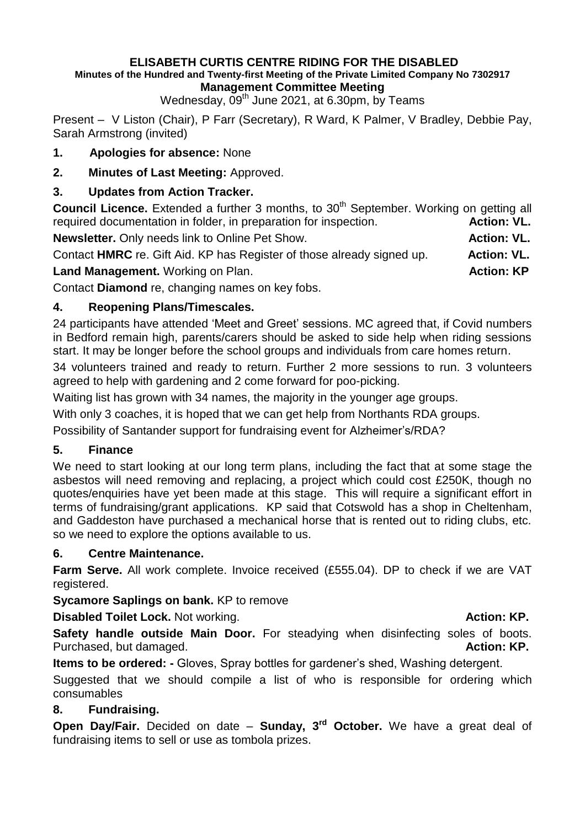#### **ELISABETH CURTIS CENTRE RIDING FOR THE DISABLED Minutes of the Hundred and Twenty-first Meeting of the Private Limited Company No 7302917 Management Committee Meeting**

Wednesday,  $09<sup>th</sup>$  June 2021, at 6.30pm, by Teams

Present – V Liston (Chair), P Farr (Secretary), R Ward, K Palmer, V Bradley, Debbie Pay, Sarah Armstrong (invited)

## **1. Apologies for absence:** None

**2. Minutes of Last Meeting:** Approved.

# **3. Updates from Action Tracker.**

**Council Licence.** Extended a further 3 months, to 30<sup>th</sup> September. Working on getting all required documentation in folder, in preparation for inspection. **Action: VL.** 

**Newsletter.** Only needs link to Online Pet Show. **Action: VL.** Action: VL.

Contact **HMRC** re. Gift Aid. KP has Register of those already signed up. **Action: VL.**

**Land Management.** Working on Plan. **Action: KP Action: KP** 

Contact **Diamond** re, changing names on key fobs.

## **4. Reopening Plans/Timescales.**

24 participants have attended 'Meet and Greet' sessions. MC agreed that, if Covid numbers in Bedford remain high, parents/carers should be asked to side help when riding sessions start. It may be longer before the school groups and individuals from care homes return.

34 volunteers trained and ready to return. Further 2 more sessions to run. 3 volunteers agreed to help with gardening and 2 come forward for poo-picking.

Waiting list has grown with 34 names, the majority in the younger age groups.

With only 3 coaches, it is hoped that we can get help from Northants RDA groups.

Possibility of Santander support for fundraising event for Alzheimer's/RDA?

#### **5. Finance**

We need to start looking at our long term plans, including the fact that at some stage the asbestos will need removing and replacing, a project which could cost £250K, though no quotes/enquiries have yet been made at this stage. This will require a significant effort in terms of fundraising/grant applications. KP said that Cotswold has a shop in Cheltenham, and Gaddeston have purchased a mechanical horse that is rented out to riding clubs, etc. so we need to explore the options available to us.

#### **6. Centre Maintenance.**

**Farm Serve.** All work complete. Invoice received (£555.04). DP to check if we are VAT registered.

**Sycamore Saplings on bank.** KP to remove

**Disabled Toilet Lock.** Not working. **Action: KP. Action: KP. Action: KP.** 

**Safety handle outside Main Door.** For steadying when disinfecting soles of boots. Purchased, but damaged. **Action: KP. Action: KP. Action: KP.** 

**Items to be ordered: -** Gloves, Spray bottles for gardener's shed, Washing detergent.

Suggested that we should compile a list of who is responsible for ordering which consumables

# **8. Fundraising.**

**Open Day/Fair.** Decided on date – **Sunday, 3rd October.** We have a great deal of fundraising items to sell or use as tombola prizes.